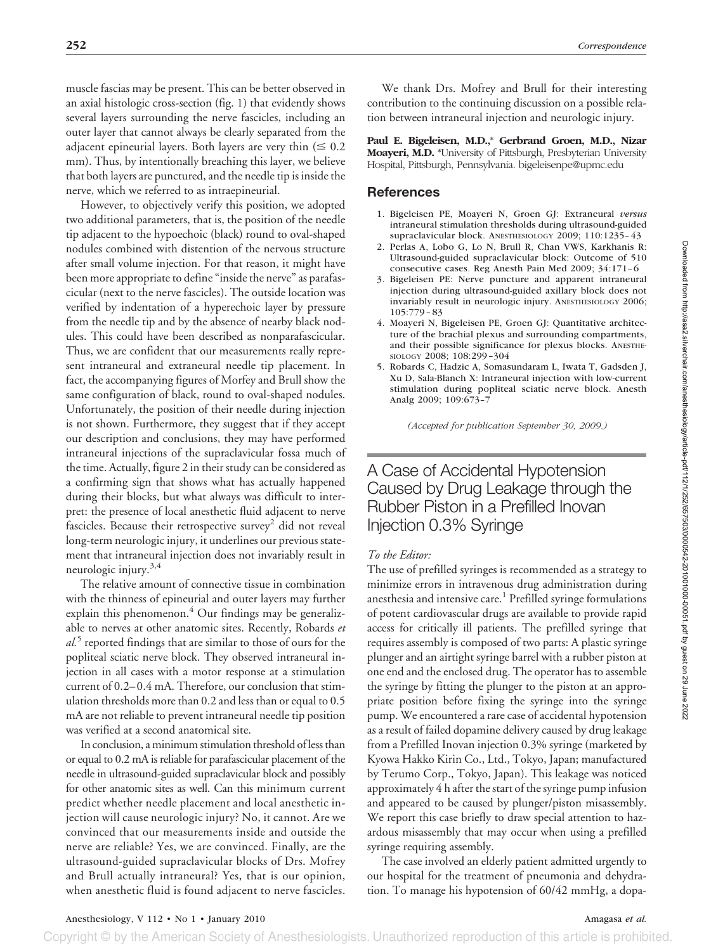muscle fascias may be present. This can be better observed in an axial histologic cross-section (fig. 1) that evidently shows several layers surrounding the nerve fascicles, including an outer layer that cannot always be clearly separated from the adjacent epineurial layers. Both layers are very thin  $(\leq 0.2)$ mm). Thus, by intentionally breaching this layer, we believe that both layers are punctured, and the needle tip is inside the nerve, which we referred to as intraepineurial.

However, to objectively verify this position, we adopted two additional parameters, that is, the position of the needle tip adjacent to the hypoechoic (black) round to oval-shaped nodules combined with distention of the nervous structure after small volume injection. For that reason, it might have been more appropriate to define "inside the nerve" as parafascicular (next to the nerve fascicles). The outside location was verified by indentation of a hyperechoic layer by pressure from the needle tip and by the absence of nearby black nodules. This could have been described as nonparafascicular. Thus, we are confident that our measurements really represent intraneural and extraneural needle tip placement. In fact, the accompanying figures of Morfey and Brull show the same configuration of black, round to oval-shaped nodules. Unfortunately, the position of their needle during injection is not shown. Furthermore, they suggest that if they accept our description and conclusions, they may have performed intraneural injections of the supraclavicular fossa much of the time. Actually, figure 2 in their study can be considered as a confirming sign that shows what has actually happened during their blocks, but what always was difficult to interpret: the presence of local anesthetic fluid adjacent to nerve fascicles. Because their retrospective survey<sup>2</sup> did not reveal long-term neurologic injury, it underlines our previous statement that intraneural injection does not invariably result in neurologic injury.<sup>3,4</sup>

The relative amount of connective tissue in combination with the thinness of epineurial and outer layers may further explain this phenomenon. $4$  Our findings may be generalizable to nerves at other anatomic sites. Recently, Robards *et al.*<sup>5</sup> reported findings that are similar to those of ours for the popliteal sciatic nerve block. They observed intraneural injection in all cases with a motor response at a stimulation current of 0.2– 0.4 mA. Therefore, our conclusion that stimulation thresholds more than 0.2 and less than or equal to 0.5 mA are not reliable to prevent intraneural needle tip position was verified at a second anatomical site.

In conclusion, a minimum stimulation threshold of less than or equal to 0.2 mA is reliable for parafascicular placement of the needle in ultrasound-guided supraclavicular block and possibly for other anatomic sites as well. Can this minimum current predict whether needle placement and local anesthetic injection will cause neurologic injury? No, it cannot. Are we convinced that our measurements inside and outside the nerve are reliable? Yes, we are convinced. Finally, are the ultrasound-guided supraclavicular blocks of Drs. Mofrey and Brull actually intraneural? Yes, that is our opinion, when anesthetic fluid is found adjacent to nerve fascicles.

We thank Drs. Mofrey and Brull for their interesting contribution to the continuing discussion on a possible relation between intraneural injection and neurologic injury.

**Paul E. Bigeleisen, M.D.,\* Gerbrand Groen, M.D., Nizar Moayeri, M.D. \***University of Pittsburgh, Presbyterian University Hospital, Pittsburgh, Pennsylvania. bigeleisenpe@upmc.edu

#### **References**

- 1. Bigeleisen PE, Moayeri N, Groen GJ: Extraneural *versus* intraneural stimulation thresholds during ultrasound-guided supraclavicular block. ANESTHESIOLOGY 2009; 110:1235-43
- 2. Perlas A, Lobo G, Lo N, Brull R, Chan VWS, Karkhanis R: Ultrasound-guided supraclavicular block: Outcome of 510 consecutive cases. Reg Anesth Pain Med 2009; 34:171-6
- 3. Bigeleisen PE: Nerve puncture and apparent intraneural injection during ultrasound-guided axillary block does not invariably result in neurologic injury. ANESTHESIOLOGY 2006; 105:779 – 83
- 4. Moayeri N, Bigeleisen PE, Groen GJ: Quantitative architecture of the brachial plexus and surrounding compartments, and their possible significance for plexus blocks. ANESTHE-SIOLOGY 2008; 108:299 –304
- 5. Robards C, Hadzic A, Somasundaram L, Iwata T, Gadsden J, Xu D, Sala-Blanch X: Intraneural injection with low-current stimulation during popliteal sciatic nerve block. Anesth Analg 2009; 109:673–7

*(Accepted for publication September 30, 2009.)*

# A Case of Accidental Hypotension Caused by Drug Leakage through the Rubber Piston in a Prefilled Inovan Injection 0.3% Syringe

#### *To the Editor:*

The use of prefilled syringes is recommended as a strategy to minimize errors in intravenous drug administration during anesthesia and intensive care.<sup>1</sup> Prefilled syringe formulations of potent cardiovascular drugs are available to provide rapid access for critically ill patients. The prefilled syringe that requires assembly is composed of two parts: A plastic syringe plunger and an airtight syringe barrel with a rubber piston at one end and the enclosed drug. The operator has to assemble the syringe by fitting the plunger to the piston at an appropriate position before fixing the syringe into the syringe pump. We encountered a rare case of accidental hypotension as a result of failed dopamine delivery caused by drug leakage from a Prefilled Inovan injection 0.3% syringe (marketed by Kyowa Hakko Kirin Co., Ltd., Tokyo, Japan; manufactured by Terumo Corp., Tokyo, Japan). This leakage was noticed approximately 4 h after the start of the syringe pump infusion and appeared to be caused by plunger/piston misassembly. We report this case briefly to draw special attention to hazardous misassembly that may occur when using a prefilled syringe requiring assembly.

The case involved an elderly patient admitted urgently to our hospital for the treatment of pneumonia and dehydration. To manage his hypotension of 60/42 mmHg, a dopa-

## Anesthesiology, V 112 • No 1 • January 2010 **Amagasa** *et al.* Amagasa *et al.*

Copyright © by the American Society of Anesthesiologists. Unauthorized reproduction of this article is prohibited.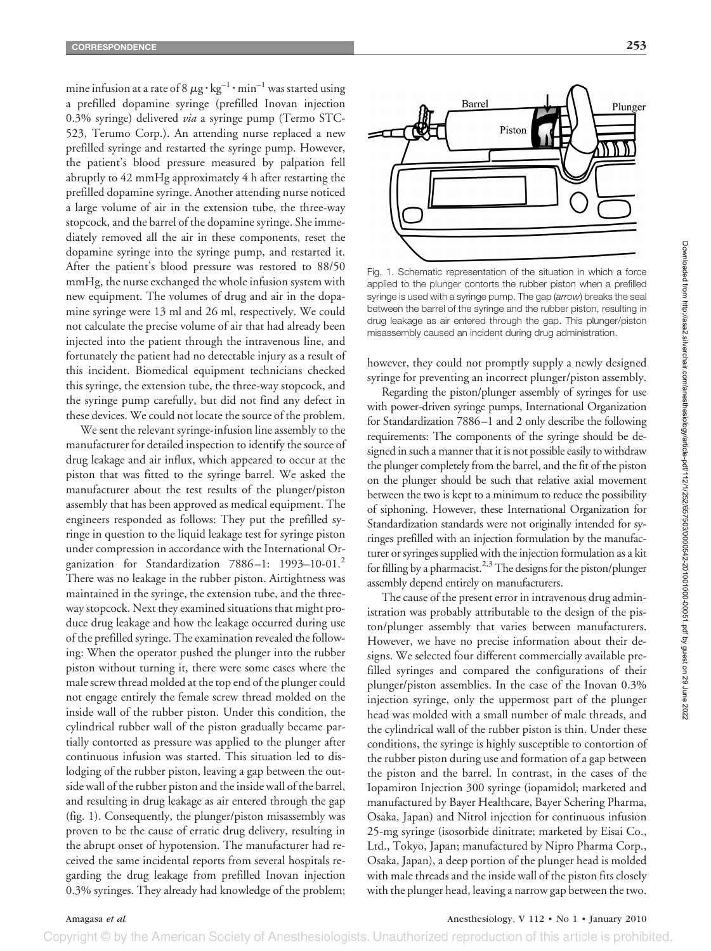mine infusion at a rate of 8  $\mu$ g  $\cdot$  kg $^{-1}\cdot$ min $^{-1}$  was started using a prefilled dopamine syringe (prefilled Inovan injection 0.3% syringe) delivered *via* a syringe pump (Termo STC-523, Terumo Corp.). An attending nurse replaced a new prefilled syringe and restarted the syringe pump. However, the patient's blood pressure measured by palpation fell abruptly to 42 mmHg approximately 4 h after restarting the prefilled dopamine syringe. Another attending nurse noticed a large volume of air in the extension tube, the three-way stopcock, and the barrel of the dopamine syringe. She immediately removed all the air in these components, reset the dopamine syringe into the syringe pump, and restarted it. After the patient's blood pressure was restored to 88/50 mmHg, the nurse exchanged the whole infusion system with new equipment. The volumes of drug and air in the dopamine syringe were 13 ml and 26 ml, respectively. We could not calculate the precise volume of air that had already been injected into the patient through the intravenous line, and fortunately the patient had no detectable injury as a result of this incident. Biomedical equipment technicians checked this syringe, the extension tube, the three-way stopcock, and the syringe pump carefully, but did not find any defect in these devices. We could not locate the source of the problem.

We sent the relevant syringe-infusion line assembly to the manufacturer for detailed inspection to identify the source of drug leakage and air influx, which appeared to occur at the piston that was fitted to the syringe barrel. We asked the manufacturer about the test results of the plunger/piston assembly that has been approved as medical equipment. The engineers responded as follows: They put the prefilled syringe in question to the liquid leakage test for syringe piston under compression in accordance with the International Organization for Standardization 7886-1: 1993-10-01.<sup>2</sup> There was no leakage in the rubber piston. Airtightness was maintained in the syringe, the extension tube, and the threeway stopcock. Next they examined situations that might produce drug leakage and how the leakage occurred during use of the prefilled syringe. The examination revealed the following: When the operator pushed the plunger into the rubber piston without turning it, there were some cases where the male screw thread molded at the top end of the plunger could not engage entirely the female screw thread molded on the inside wall of the rubber piston. Under this condition, the cylindrical rubber wall of the piston gradually became partially contorted as pressure was applied to the plunger after continuous infusion was started. This situation led to dislodging of the rubber piston, leaving a gap between the outside wall of the rubber piston and the inside wall of the barrel, and resulting in drug leakage as air entered through the gap (fig. 1). Consequently, the plunger/piston misassembly was proven to be the cause of erratic drug delivery, resulting in the abrupt onset of hypotension. The manufacturer had received the same incidental reports from several hospitals regarding the drug leakage from prefilled Inovan injection 0.3% syringes. They already had knowledge of the problem;



Fig. 1. Schematic representation of the situation in which a force applied to the plunger contorts the rubber piston when a prefilled syringe is used with a syringe pump. The gap (*arrow*) breaks the seal between the barrel of the syringe and the rubber piston, resulting in drug leakage as air entered through the gap. This plunger/piston misassembly caused an incident during drug administration.

however, they could not promptly supply a newly designed syringe for preventing an incorrect plunger/piston assembly.

Regarding the piston/plunger assembly of syringes for use with power-driven syringe pumps, International Organization for Standardization 7886 –1 and 2 only describe the following requirements: The components of the syringe should be designed in such a manner that it is not possible easily to withdraw the plunger completely from the barrel, and the fit of the piston on the plunger should be such that relative axial movement between the two is kept to a minimum to reduce the possibility of siphoning. However, these International Organization for Standardization standards were not originally intended for syringes prefilled with an injection formulation by the manufacturer or syringes supplied with the injection formulation as a kit for filling by a pharmacist.<sup>2,3</sup> The designs for the piston/plunger assembly depend entirely on manufacturers.

The cause of the present error in intravenous drug administration was probably attributable to the design of the piston/plunger assembly that varies between manufacturers. However, we have no precise information about their designs. We selected four different commercially available prefilled syringes and compared the configurations of their plunger/piston assemblies. In the case of the Inovan 0.3% injection syringe, only the uppermost part of the plunger head was molded with a small number of male threads, and the cylindrical wall of the rubber piston is thin. Under these conditions, the syringe is highly susceptible to contortion of the rubber piston during use and formation of a gap between the piston and the barrel. In contrast, in the cases of the Iopamiron Injection 300 syringe (iopamidol; marketed and manufactured by Bayer Healthcare, Bayer Schering Pharma, Osaka, Japan) and Nitrol injection for continuous infusion 25-mg syringe (isosorbide dinitrate; marketed by Eisai Co., Ltd., Tokyo, Japan; manufactured by Nipro Pharma Corp., Osaka, Japan), a deep portion of the plunger head is molded with male threads and the inside wall of the piston fits closely with the plunger head, leaving a narrow gap between the two.

Amagasa *et al.* Anesthesiology, V 112 • No 1 • January 2010

Copyright © by the American Society of Anesthesiologists. Unauthorized reproduction of this article is prohibited.